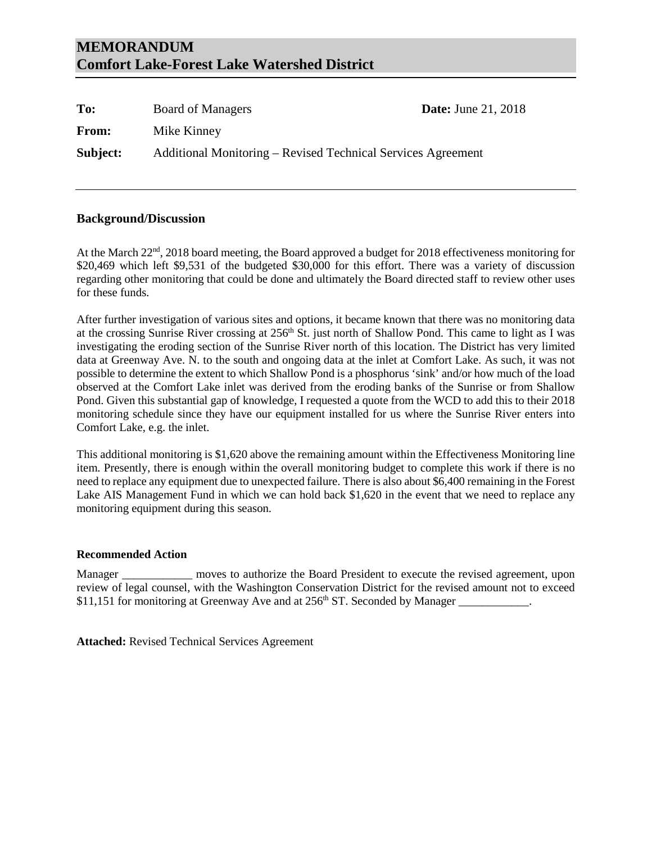# **MEMORANDUM Comfort Lake-Forest Lake Watershed District**

| To:      | <b>Board of Managers</b>                                     | <b>Date:</b> June 21, 2018 |
|----------|--------------------------------------------------------------|----------------------------|
| From:    | Mike Kinney                                                  |                            |
| Subject: | Additional Monitoring – Revised Technical Services Agreement |                            |

# **Background/Discussion**

At the March 22<sup>nd</sup>, 2018 board meeting, the Board approved a budget for 2018 effectiveness monitoring for \$20,469 which left \$9,531 of the budgeted \$30,000 for this effort. There was a variety of discussion regarding other monitoring that could be done and ultimately the Board directed staff to review other uses for these funds.

After further investigation of various sites and options, it became known that there was no monitoring data at the crossing Sunrise River crossing at 256<sup>th</sup> St. just north of Shallow Pond. This came to light as I was investigating the eroding section of the Sunrise River north of this location. The District has very limited data at Greenway Ave. N. to the south and ongoing data at the inlet at Comfort Lake. As such, it was not possible to determine the extent to which Shallow Pond is a phosphorus 'sink' and/or how much of the load observed at the Comfort Lake inlet was derived from the eroding banks of the Sunrise or from Shallow Pond. Given this substantial gap of knowledge, I requested a quote from the WCD to add this to their 2018 monitoring schedule since they have our equipment installed for us where the Sunrise River enters into Comfort Lake, e.g. the inlet.

This additional monitoring is \$1,620 above the remaining amount within the Effectiveness Monitoring line item. Presently, there is enough within the overall monitoring budget to complete this work if there is no need to replace any equipment due to unexpected failure. There is also about \$6,400 remaining in the Forest Lake AIS Management Fund in which we can hold back \$1,620 in the event that we need to replace any monitoring equipment during this season.

## **Recommended Action**

Manager \_\_\_\_\_\_\_\_\_\_\_\_\_ moves to authorize the Board President to execute the revised agreement, upon review of legal counsel, with the Washington Conservation District for the revised amount not to exceed \$11,151 for monitoring at Greenway Ave and at 256<sup>th</sup> ST. Seconded by Manager

**Attached:** Revised Technical Services Agreement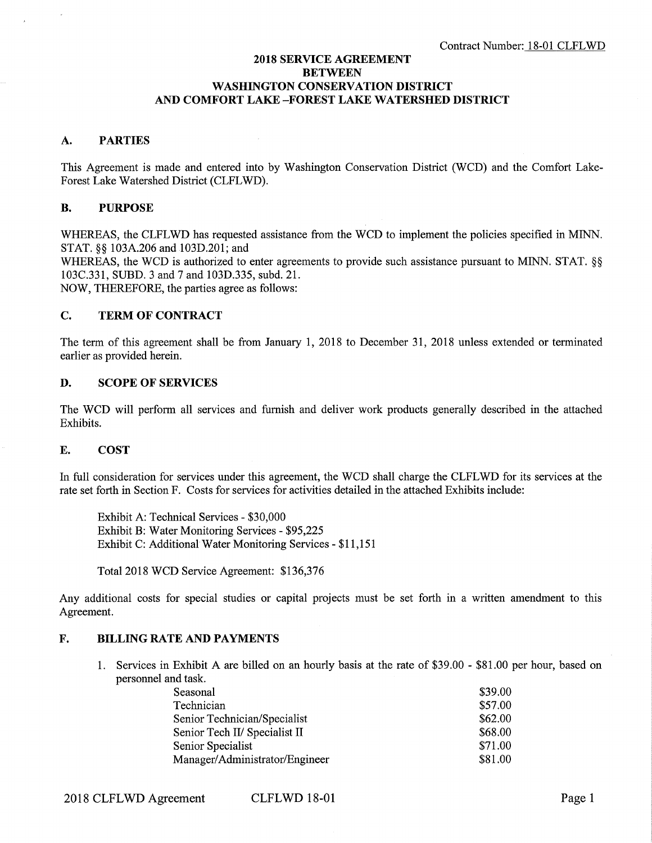## **2018 SERVICE AGREEMENT BETWEEN WASHINGTON CONSERVATION DISTRICT AND COMFORT LAKE-FOREST LAKE WATERSHED DISTRICT**

## **A. PARTIES**

This Agreement is made and entered into by Washington Conservation District (WCD) and the Comfort Lake-Forest Lake Watershed District (CLFLWD).

# **B. PURPOSE**

WHEREAS, the CLFLWD has requested assistance from the WCD to implement the policies specified in MINN. STAT. §§ 103A.206 and 103D.201; and

WHEREAS, the WCD is authorized to enter agreements to provide such assistance pursuant to MINN. STAT. §§ 103C.331, SUBD. 3 and 7 and 103D.335, subd. 21.

NOW, THEREFORE, the parties agree as follows:

## **C. TERM OF CONTRACT**

The term of this agreement shall be from January 1, 2018 to December 31, 2018 unless extended or terminated earlier as provided herein.

## **D. SCOPE OF SERVICES**

The WCD will perform all services and furnish and deliver work products generally described in the attached Exhibits.

### **E. COST**

In full consideration for services under this agreement, the WCD shall charge the CLFLWD for its services at the rate set forth in Section F. Costs for services for activities detailed in the attached Exhibits include:

Exhibit A: Technical Services - \$30,000 Exhibit B: Water Monitoring Services - \$95,225 Exhibit C: Additional Water Monitoring Services - \$11,151

Total 2018 WCD Service Agreement: \$136,376

Any additional costs for special studies or capital projects must be set forth in a written amendment to this Agreement.

### **F. BILLING RATE AND PAYMENTS**

1. Services in Exhibit A are billed on an hourly basis at the rate of \$39.00 - \$81.00 per hour, based on personnel and task.

| Seasonal                       | \$39.00 |
|--------------------------------|---------|
| Technician                     | \$57.00 |
| Senior Technician/Specialist   | \$62.00 |
| Senior Tech II/ Specialist II  | \$68.00 |
| Senior Specialist              | \$71.00 |
| Manager/Administrator/Engineer | \$81.00 |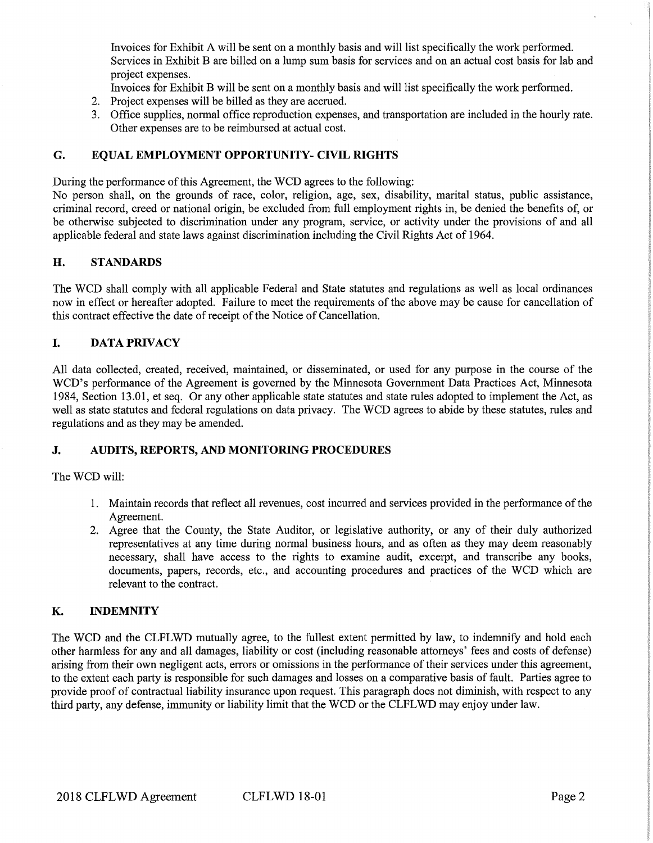Invoices for Exhibit A will be sent on a monthly basis and will list specifically the work performed. Services in Exhibit B are billed on a lump sum basis for services and on an actual cost basis for lab and project expenses.

Invoices for Exhibit B will be sent on a monthly basis and will list specifically the work performed.

- 2. Project expenses will be billed as they are accrued.
- 3. Office supplies, normal office reproduction expenses, and transportation are included in the hourly rate. Other expenses are to be reimbursed at actual cost.

# **G. EQUAL EMPLOYMENT OPPORTUNITY- CIVIL RIGHTS**

During the performance of this Agreement, the WCD agrees to the following:

No person shall, on the grounds of race, color, religion, age, sex, disability, marital status, public assistance, criminal record, creed or national origin, be excluded from full employment rights in, be denied the benefits of, or be otherwise subjected to discrimination under any program, service, or activity under the provisions of and all applicable federal and state laws against discrimination including the Civil Rights Act of 1964.

# **H. STANDARDS**

The WCD shall comply with all applicable Federal and State statutes and regulations as well as local ordinances now in effect or hereafter adopted. Failure to meet the requirements of the above may be cause for cancellation of this contract effective the date of receipt of the Notice of Cancellation.

# I. **DATA PRIVACY**

All data collected, created, received, maintained, or disseminated, or used for any purpose in the course of the WCD's performance of the Agreement is governed by the Minnesota Government Data Practices Act, Minnesota 1984, Section 13.01, et seq. Or any other applicable state statutes and state rules adopted to implement the Act, as well as state statutes and federal regulations on data privacy. The WCD agrees to abide by these statutes, rules and regulations and as they may be amended.

# **J. AUDITS, REPORTS, AND MONITORING PROCEDURES**

The WCD will:

- 1. Maintain records that reflect all revenues, cost incurred and services provided in the performance of the Agreement.
- 2. Agree that the County, the State Auditor, or legislative authority, or any of their duly authorized representatives at any time during normal business hours, and as often as they may deem reasonably necessary, shall have access to the rights to examine audit, excerpt, and transcribe any books, documents, papers, records, etc., and accounting procedures and practices of the WCD which are relevant to the contract.

# **K. INDEMNITY**

The WCD and the CLFLWD mutually agree, to the fullest extent permitted by law, to indemnify and hold each other harmless for any and all damages, liability or cost (including reasonable attorneys' fees and costs of defense) arising from their own negligent acts, errors or omissions in the performance of their services under this agreement, to the extent each party is responsible for such damages and losses on a comparative basis of fault. Parties agree to provide proof of contractual liability insurance upon request. This paragraph does not diminish, with respect to any third party, any defense, immunity or liability limit that the WCD or the CLFL WD may enjoy under law.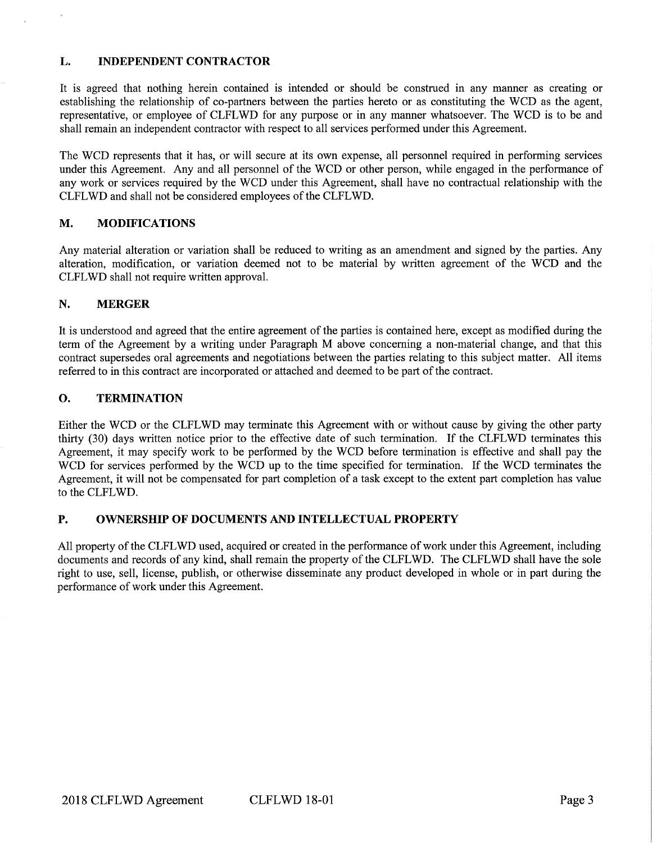# **L. INDEPENDENT CONTRACTOR**

It is agreed that nothing herein contained is intended or should be construed in any manner as creating or establishing the relationship of co-partners between the parties hereto or as constituting the WCD as the agent, representative, or employee of CLFLWD for any purpose or in any manner whatsoever. The WCD is to be and shall remain an independent contractor with respect to all services performed under this Agreement.

The WCD represents that it has, or will secure at its own expense, all personnel required in performing services under this Agreement. Any and all personnel of the WCD or other person, while engaged in the performance of any work or services required by the WCD under this Agreement, shall have no contractual relationship with the CLFLWD and shall not be considered employees of the CLFLWD.

# **M. MODIFICATIONS**

Any material alteration or variation shall be reduced to writing as an amendment and signed by the parties. Any alteration, modification, or variation deemed not to be material by written agreement of the WCD and the CLFL **WD** shall not require written approval.

## **N. MERGER**

It is understood and agreed that the entire agreement of the parties is contained here, except as modified during the term of the Agreement by a writing under Paragraph M above concerning a non-material change, and that this contract supersedes oral agreements and negotiations between the parties relating to this subject matter. All items referred to in this contract are incorporated or attached and deemed to be part of the contract.

# **0. TERMINATION**

Either the WCD or the CLFLWD may terminate this Agreement with or without cause by giving the other party thirty (30) days written notice prior to the effective date of such termination. If the CLFL WD terminates this Agreement, it may specify work to be performed by the WCD before termination is effective and shall pay the WCD for services performed by the WCD up to the time specified for termination. If the WCD terminates the Agreement, it will not be compensated for part completion of a task except to the extent part completion has value to the CLFLWD.

# **P. OWNERSHIP OF DOCUMENTS AND INTELLECTUAL PROPERTY**

All property of the CLFL WD used, acquired or created in the performance of work under this Agreement, including documents and records of any kind, shall remain the property of the CLFLWD. The CLFLWD shall have the sole right to use, sell, license, publish, or otherwise disseminate any product developed in whole or in part during the performance of work under this Agreement.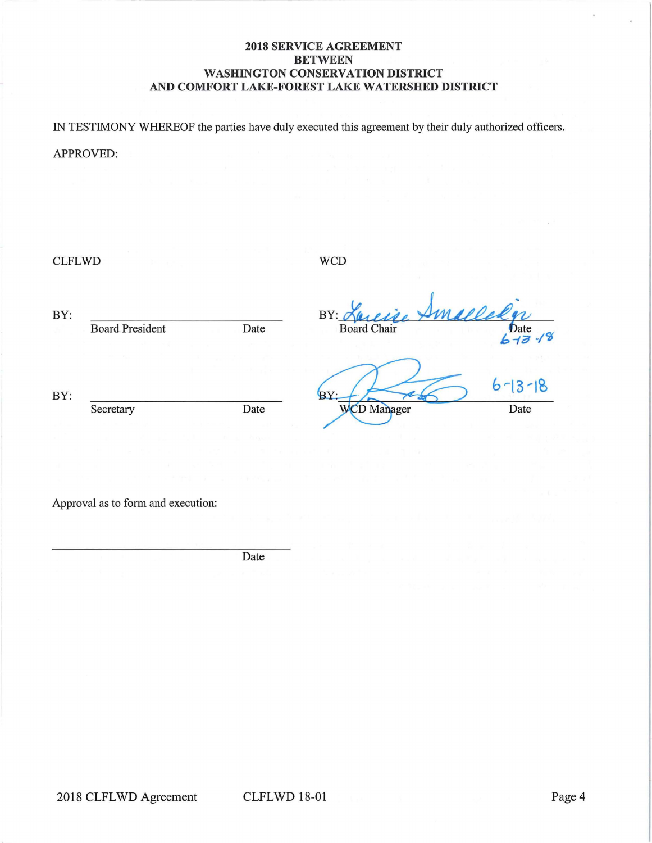## **2018 SERVICE AGREEMENT BETWEEN WASHINGTON CONSERVATION DISTRICT AND COMFORT LAKE-FOREST LAKE WATERSHED DISTRICT**

IN TESTIMONY WHEREOF the parties have duly executed this agreement by their duly authorized officers.

# APPROVED:

CLFLWD WCD

BY: **BY** Board President Date Date **Board** Chair  $\overline{\mathbf{3}}$ BY: BY: Secretary Date Date WCD Manager Date

Approval as to form and execution:

Date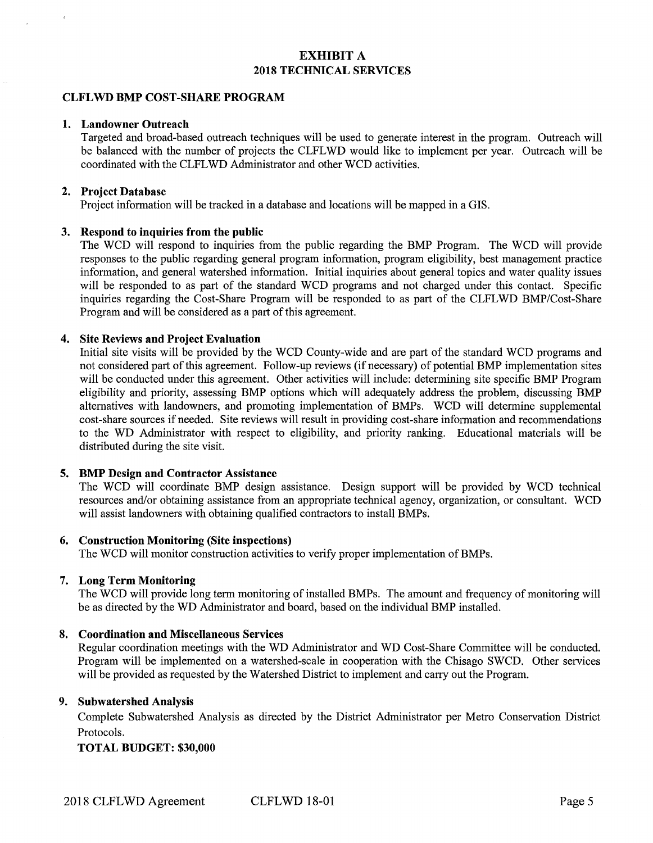# **EXHIBIT A 2018 TECHNICAL SERVICES**

### **CLFLWD BMP COST-SHARE PROGRAM**

### **1. Landowner Outreach**

Targeted and broad-based outreach techniques will be used to generate interest in the program. Outreach will be balanced with the number of projects the CLFLWD would like to implement per year. Outreach will be coordinated with the CLFL WD Administrator and other WCD activities.

#### **2. Project Database**

Project information will be tracked in a database and locations will be mapped in a GIS.

### **3. Respond to inquiries from the public**

The WCD will respond to inquiries from the public regarding the BMP Program. The WCD will provide responses to the public regarding general program information, program eligibility, best management practice information, and general watershed information. Initial inquiries about general topics and water quality issues will be responded to as part of the standard WCD programs and not charged under this contact. Specific inquiries regarding the Cost-Share Program will be responded to as part of the CLFLWD BMP/Cost-Share Program and will be considered as a part of this agreement.

### **4. Site Reviews and Project Evaluation**

Initial site visits will be provided by the WCD County-wide and are part of the standard WCD programs and not considered part of this agreement. Follow-up reviews (if necessary) of potential BMP implementation sites will be conducted under this agreement. Other activities will include: determining site specific BMP Program eligibility and priority, assessing BMP options which will adequately address the problem, discussing BMP alternatives with landowners, and promoting implementation of BMPs. WCD will determine supplemental cost-share sources if needed. Site reviews will result in providing cost-share information and recommendations to the WD Administrator with respect to eligibility, and priority ranking. Educational materials will be distributed during the site visit.

## **5. BMP Design and Contractor Assistance**

The WCD will coordinate BMP design assistance. Design support will be provided by WCD technical resources and/or obtaining assistance from an appropriate technical agency, organization, or consultant. WCD will assist landowners with obtaining qualified contractors to install BMPs.

#### **6. Construction Monitoring (Site inspections)**

The WCD will monitor construction activities to verify proper implementation of BMPs.

### **7. Long Term Monitoring**

The WCD will provide long term monitoring of installed BMPs. The amount and frequency of monitoring will be as directed by the WD Administrator and board, based on the individual BMP installed.

#### **8. Coordination and Miscellaneous Services**

Regular coordination meetings with the WD Administrator and WD Cost-Share Committee will be conducted. Program will be implemented on a watershed-scale in cooperation with the Chisago SWCD. Other services will be provided as requested by the Watershed District to implement and carry out the Program.

## **9. Subwatershed Analysis**

Complete Subwatershed Analysis as directed by the District Administrator per Metro Conservation District Protocols.

#### **TOTAL BUDGET: \$30,000**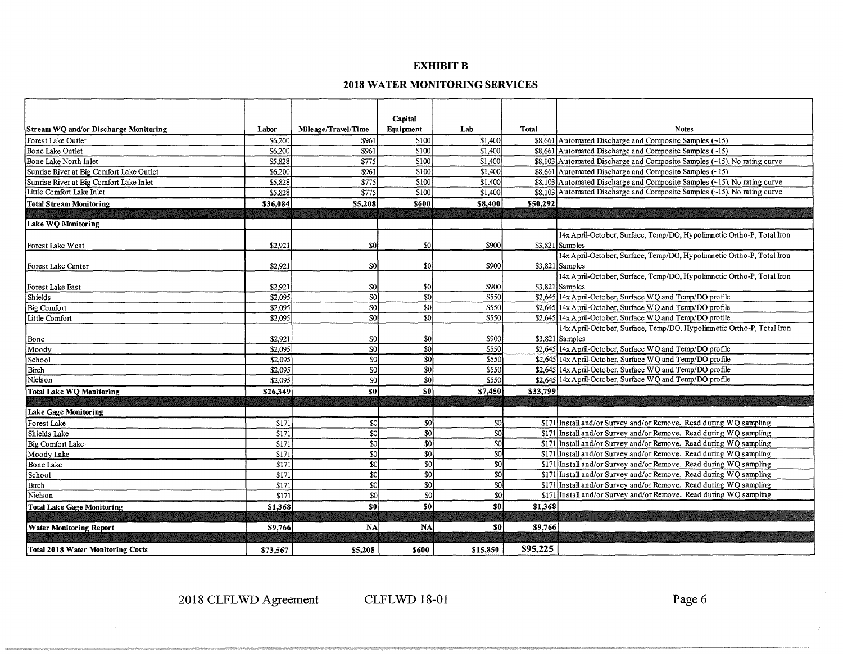## **EXHIBIT B**

# **2018 WATER MONITORING SERVICES**

|                                          |          |                     | Capital         |                 |          |                                                                                 |
|------------------------------------------|----------|---------------------|-----------------|-----------------|----------|---------------------------------------------------------------------------------|
| Stream WQ and/or Discharge Monitoring    | Labor    | Mileage/Travel/Time | Equipment       | Lab             | Total    | <b>Notes</b>                                                                    |
| Forest Lake Outlet                       | \$6,200  | \$961               | \$100           | \$1,400         |          | $$8,661$ Automated Discharge and Composite Samples (~15)                        |
| Bone Lake Outlet                         | \$6,200  | \$961               | \$100           | \$1,400         |          | $$8,661$ Automated Discharge and Composite Samples (~15)                        |
| Bone Lake North Inlet                    | \$5,828  | \$775               | \$100           | \$1,400         |          | $$8,103$ Automated Discharge and Composite Samples (~15). No rating curve       |
| Sunrise River at Big Comfort Lake Outlet | \$6,200  | \$961               | \$100           | \$1,400         |          | $$8,661$ Automated Discharge and Composite Samples (~15)                        |
| Sunrise River at Big Comfort Lake Inlet  | \$5,828  | \$775               | \$100           | \$1,400         |          | $$8,103$ Automated Discharge and Composite Samples (~15). No rating curve       |
| Little Comfort Lake Inlet                | \$5,828  | \$775               | 3100            | \$1,400         |          | $$8.103$ Automated Discharge and Composite Samples $(\sim15)$ . No rating curve |
| <b>Total Stream Monitoring</b>           | \$36,084 | \$5,208             | \$600           | \$8,400         | \$50,292 |                                                                                 |
|                                          |          |                     |                 |                 |          |                                                                                 |
| Lake WO Monitoring                       |          |                     |                 |                 |          |                                                                                 |
|                                          |          |                     |                 |                 |          | 14x April-October, Surface, Temp/DO, Hypolimnetic Ortho-P, Total Iron           |
| Forest Lake West                         | \$2,921  | \$0                 | \$0             | \$900           |          | $$3,821$ Samples                                                                |
|                                          |          |                     |                 |                 |          | 14x April-October, Surface, Temp/DO, Hypolimnetic Ortho-P, Total Iron           |
| Forest Lake Center                       | \$2,921  | \$0                 | \$0             | \$900           |          | \$3,821 Samples                                                                 |
|                                          |          |                     |                 |                 |          | 14x April-October, Surface, Temp/DO, Hypolimnetic Ortho-P, Total Iron           |
| Forest Lake East                         | \$2,921  | \$0                 | \$0             | \$900           |          | $$3,821$ Samples                                                                |
| <b>Shields</b>                           | \$2,095  | S <sub>0</sub>      | $\overline{50}$ | \$550           |          | \$2,645 14x April-October, Surface WO and Temp/DO profile                       |
| <b>Big Comfort</b>                       | \$2,095  | \$0                 | \$0             | \$550           |          | \$2,645 14x April-October, Surface WQ and Temp/DO profile                       |
| Little Comfort                           | \$2,095  | SO <sub>2</sub>     | 30              | \$550           |          | \$2,645 14x April-October, Surface WQ and Temp/DO profile                       |
|                                          |          |                     |                 |                 |          | 14x April-October, Surface, Temp/DO, Hypolimnetic Ortho-P, Total Iron           |
| Bone                                     | \$2,921  | \$0                 | \$0             | \$900           |          | $$3,821$ Samples                                                                |
| Moody                                    | \$2,095  | \$0                 | \$0             | \$550           |          | \$2,645 14x April-October, Surface WQ and Temp/DO profile                       |
| School                                   | \$2,095  | \$0                 | <sub>so</sub>   | \$550           |          | \$2,645 14x April-October, Surface WO and Temp/DO profile                       |
| Birch                                    | \$2,095  | \$0                 | sol             | \$550           |          | \$2,645 14x April-October, Surface WQ and Temp/DO profile                       |
| Nielson                                  | \$2,095  | \$0                 | 30              | \$550           |          | \$2.645 14x April-October, Surface WQ and Temp/DO profile                       |
| Total Lake WQ Monitoring                 | \$26,349 | sol                 | -sol            | \$7,450         | \$33,799 |                                                                                 |
|                                          |          |                     |                 |                 |          |                                                                                 |
| Lake Gage Monitoring                     |          |                     |                 |                 |          |                                                                                 |
| Forest Lake                              | \$171    | 50                  | S <sub>0</sub>  | -SO             |          | \$171 Install and/or Survey and/or Remove. Read during WQ sampling              |
| Shields Lake                             | \$171    | S <sub>0</sub>      | \$0             | 50              |          | \$171 Install and/or Survey and/or Remove. Read during WQ sampling              |
| Big Comfort Lake                         | \$171    | \$0                 | \$0             | <sub>\$0</sub>  |          | \$171 Install and/or Survey and/or Remove. Read during WQ sampling              |
| Moody Lake                               | \$171    | \$0                 | \$0             | \$0             |          | \$171 Install and/or Survey and/or Remove. Read during WQ sampling              |
| Bone Lake                                | \$171    | \$0                 | \$0             | \$0             |          | \$171 Install and/or Survey and/or Remove. Read during WQ sampling              |
| School                                   | \$171    | \$0                 | \$0             | S <sub>0</sub>  |          | \$171 Install and/or Survey and/or Remove. Read during WQ sampling              |
| Birch                                    | \$171    | <sub>SO</sub>       | \$0             | 30              |          | \$171 Install and/or Survey and/or Remove. Read during WO sampling              |
| Nielson                                  | \$171    | \$0                 | \$0             | SO <sub>2</sub> |          | \$171 Install and/or Survey and/or Remove. Read during WQ sampling              |
| <b>Total Lake Gage Monitoring</b>        | \$1,368  | S <sub>0</sub>      | sol             | sol             | \$1,368  |                                                                                 |
|                                          |          |                     |                 |                 |          |                                                                                 |
| <b>Water Monitoring Report</b>           | \$9,766  | <b>NA</b>           | <b>NA</b>       | S <sub>0</sub>  | \$9,766  |                                                                                 |
|                                          |          |                     |                 |                 |          |                                                                                 |
| Total 2018 Water Monitoring Costs        | \$73,567 | \$5,208             | \$600           | \$15,850        | \$95,225 |                                                                                 |

2018 CLFLWD Agreement CLFLWD 18-01 Page 6

 $\mathcal{L}_{\mathcal{C}}$ 

 $\omega$